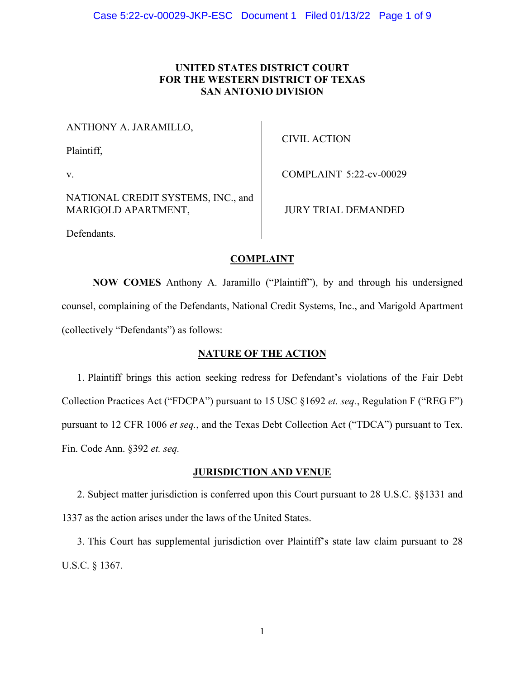# **UNITED STATES DISTRICT COURT FOR THE WESTERN DISTRICT OF TEXAS SAN ANTONIO DIVISION**

ANTHONY A. JARAMILLO,

Plaintiff,

v.

CIVIL ACTION

COMPLAINT 5:22-cv-00029

NATIONAL CREDIT SYSTEMS, INC., and MARIGOLD APARTMENT,

JURY TRIAL DEMANDED

Defendants.

# **COMPLAINT**

**NOW COMES** Anthony A. Jaramillo ("Plaintiff"), by and through his undersigned counsel, complaining of the Defendants, National Credit Systems, Inc., and Marigold Apartment (collectively "Defendants") as follows:

# **NATURE OF THE ACTION**

1. Plaintiff brings this action seeking redress for Defendant's violations of the Fair Debt Collection Practices Act ("FDCPA") pursuant to 15 USC §1692 *et. seq.*, Regulation F ("REG F") pursuant to 12 CFR 1006 *et seq.*, and the Texas Debt Collection Act ("TDCA") pursuant to Tex. Fin. Code Ann. §392 *et. seq.*

## **JURISDICTION AND VENUE**

2. Subject matter jurisdiction is conferred upon this Court pursuant to 28 U.S.C. §§1331 and 1337 as the action arises under the laws of the United States.

3. This Court has supplemental jurisdiction over Plaintiff's state law claim pursuant to 28 U.S.C. § 1367.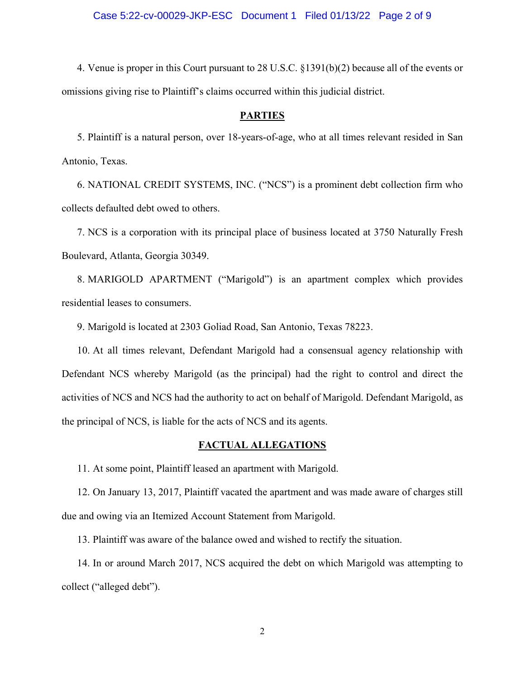4. Venue is proper in this Court pursuant to 28 U.S.C. §1391(b)(2) because all of the events or omissions giving rise to Plaintiff's claims occurred within this judicial district.

#### **PARTIES**

5. Plaintiff is a natural person, over 18-years-of-age, who at all times relevant resided in San Antonio, Texas.

6. NATIONAL CREDIT SYSTEMS, INC. ("NCS") is a prominent debt collection firm who collects defaulted debt owed to others.

7. NCS is a corporation with its principal place of business located at 3750 Naturally Fresh Boulevard, Atlanta, Georgia 30349.

8. MARIGOLD APARTMENT ("Marigold") is an apartment complex which provides residential leases to consumers.

9. Marigold is located at 2303 Goliad Road, San Antonio, Texas 78223.

10. At all times relevant, Defendant Marigold had a consensual agency relationship with Defendant NCS whereby Marigold (as the principal) had the right to control and direct the activities of NCS and NCS had the authority to act on behalf of Marigold. Defendant Marigold, as the principal of NCS, is liable for the acts of NCS and its agents.

# **FACTUAL ALLEGATIONS**

11. At some point, Plaintiff leased an apartment with Marigold.

12. On January 13, 2017, Plaintiff vacated the apartment and was made aware of charges still due and owing via an Itemized Account Statement from Marigold.

13. Plaintiff was aware of the balance owed and wished to rectify the situation.

14. In or around March 2017, NCS acquired the debt on which Marigold was attempting to collect ("alleged debt").

2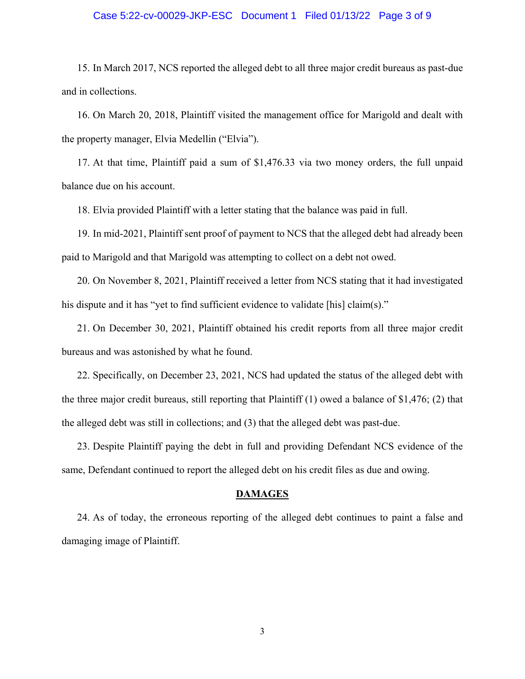### Case 5:22-cv-00029-JKP-ESC Document 1 Filed 01/13/22 Page 3 of 9

15. In March 2017, NCS reported the alleged debt to all three major credit bureaus as past-due and in collections.

16. On March 20, 2018, Plaintiff visited the management office for Marigold and dealt with the property manager, Elvia Medellin ("Elvia").

17. At that time, Plaintiff paid a sum of \$1,476.33 via two money orders, the full unpaid balance due on his account.

18. Elvia provided Plaintiff with a letter stating that the balance was paid in full.

19. In mid-2021, Plaintiff sent proof of payment to NCS that the alleged debt had already been paid to Marigold and that Marigold was attempting to collect on a debt not owed.

20. On November 8, 2021, Plaintiff received a letter from NCS stating that it had investigated his dispute and it has "yet to find sufficient evidence to validate [his] claim(s)."

21. On December 30, 2021, Plaintiff obtained his credit reports from all three major credit bureaus and was astonished by what he found.

22. Specifically, on December 23, 2021, NCS had updated the status of the alleged debt with the three major credit bureaus, still reporting that Plaintiff (1) owed a balance of \$1,476; (2) that the alleged debt was still in collections; and (3) that the alleged debt was past-due.

23. Despite Plaintiff paying the debt in full and providing Defendant NCS evidence of the same, Defendant continued to report the alleged debt on his credit files as due and owing.

#### **DAMAGES**

24. As of today, the erroneous reporting of the alleged debt continues to paint a false and damaging image of Plaintiff.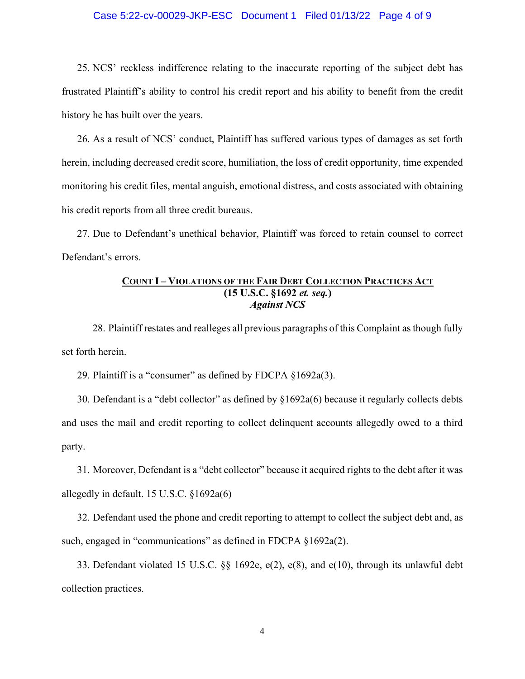### Case 5:22-cv-00029-JKP-ESC Document 1 Filed 01/13/22 Page 4 of 9

25. NCS' reckless indifference relating to the inaccurate reporting of the subject debt has frustrated Plaintiff's ability to control his credit report and his ability to benefit from the credit history he has built over the years.

26. As a result of NCS' conduct, Plaintiff has suffered various types of damages as set forth herein, including decreased credit score, humiliation, the loss of credit opportunity, time expended monitoring his credit files, mental anguish, emotional distress, and costs associated with obtaining his credit reports from all three credit bureaus.

27. Due to Defendant's unethical behavior, Plaintiff was forced to retain counsel to correct Defendant's errors.

# **COUNT I – VIOLATIONS OF THE FAIR DEBT COLLECTION PRACTICES ACT (15 U.S.C. §1692** *et. seq.***)**  *Against NCS*

28. Plaintiff restates and realleges all previous paragraphs of this Complaint as though fully set forth herein.

29. Plaintiff is a "consumer" as defined by FDCPA §1692a(3).

30. Defendant is a "debt collector" as defined by §1692a(6) because it regularly collects debts and uses the mail and credit reporting to collect delinquent accounts allegedly owed to a third party.

31. Moreover, Defendant is a "debt collector" because it acquired rights to the debt after it was allegedly in default. 15 U.S.C. §1692a(6)

32. Defendant used the phone and credit reporting to attempt to collect the subject debt and, as such, engaged in "communications" as defined in FDCPA §1692a(2).

33. Defendant violated 15 U.S.C. §§ 1692e, e(2), e(8), and e(10), through its unlawful debt collection practices.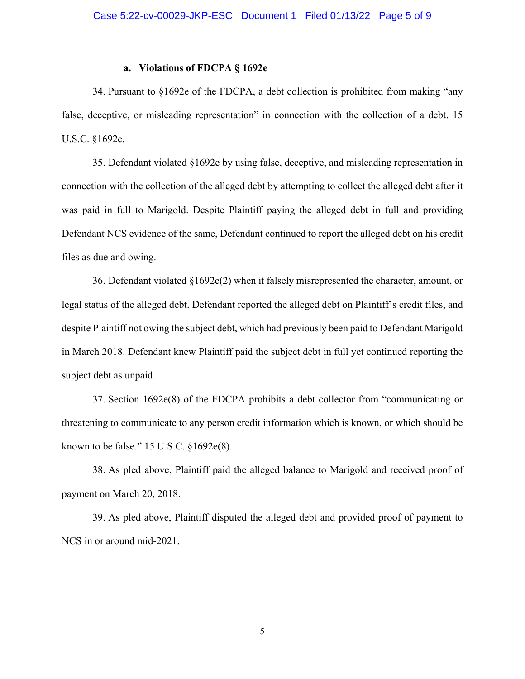### **a. Violations of FDCPA § 1692e**

34. Pursuant to §1692e of the FDCPA, a debt collection is prohibited from making "any false, deceptive, or misleading representation" in connection with the collection of a debt. 15 U.S.C. §1692e.

35. Defendant violated §1692e by using false, deceptive, and misleading representation in connection with the collection of the alleged debt by attempting to collect the alleged debt after it was paid in full to Marigold. Despite Plaintiff paying the alleged debt in full and providing Defendant NCS evidence of the same, Defendant continued to report the alleged debt on his credit files as due and owing.

36. Defendant violated §1692e(2) when it falsely misrepresented the character, amount, or legal status of the alleged debt. Defendant reported the alleged debt on Plaintiff's credit files, and despite Plaintiff not owing the subject debt, which had previously been paid to Defendant Marigold in March 2018. Defendant knew Plaintiff paid the subject debt in full yet continued reporting the subject debt as unpaid.

37. Section 1692e(8) of the FDCPA prohibits a debt collector from "communicating or threatening to communicate to any person credit information which is known, or which should be known to be false." 15 U.S.C. §1692e(8).

38. As pled above, Plaintiff paid the alleged balance to Marigold and received proof of payment on March 20, 2018.

39. As pled above, Plaintiff disputed the alleged debt and provided proof of payment to NCS in or around mid-2021.

5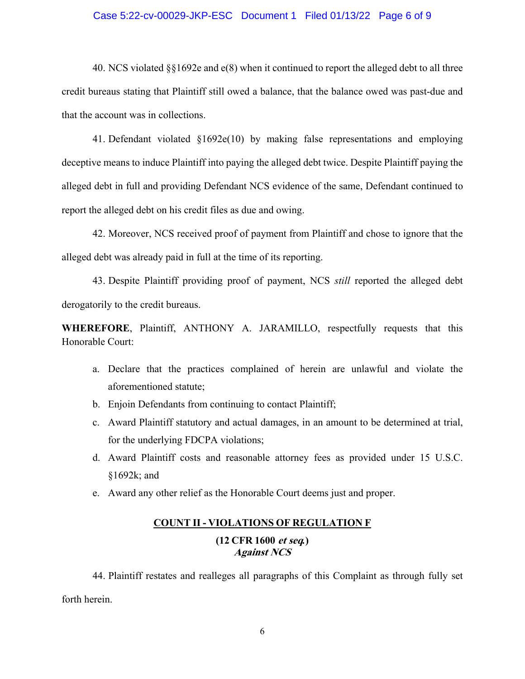### Case 5:22-cv-00029-JKP-ESC Document 1 Filed 01/13/22 Page 6 of 9

40. NCS violated §§1692e and e(8) when it continued to report the alleged debt to all three credit bureaus stating that Plaintiff still owed a balance, that the balance owed was past-due and that the account was in collections.

41. Defendant violated §1692e(10) by making false representations and employing deceptive means to induce Plaintiff into paying the alleged debt twice. Despite Plaintiff paying the alleged debt in full and providing Defendant NCS evidence of the same, Defendant continued to report the alleged debt on his credit files as due and owing.

42. Moreover, NCS received proof of payment from Plaintiff and chose to ignore that the alleged debt was already paid in full at the time of its reporting.

43. Despite Plaintiff providing proof of payment, NCS *still* reported the alleged debt derogatorily to the credit bureaus.

**WHEREFORE**, Plaintiff, ANTHONY A. JARAMILLO, respectfully requests that this Honorable Court:

- a. Declare that the practices complained of herein are unlawful and violate the aforementioned statute;
- b. Enjoin Defendants from continuing to contact Plaintiff;
- c. Award Plaintiff statutory and actual damages, in an amount to be determined at trial, for the underlying FDCPA violations;
- d. Award Plaintiff costs and reasonable attorney fees as provided under 15 U.S.C. §1692k; and
- e. Award any other relief as the Honorable Court deems just and proper.

# **COUNT II - VIOLATIONS OF REGULATION F (12 CFR 1600 et seq***.***) Against NCS**

44. Plaintiff restates and realleges all paragraphs of this Complaint as through fully set forth herein.

6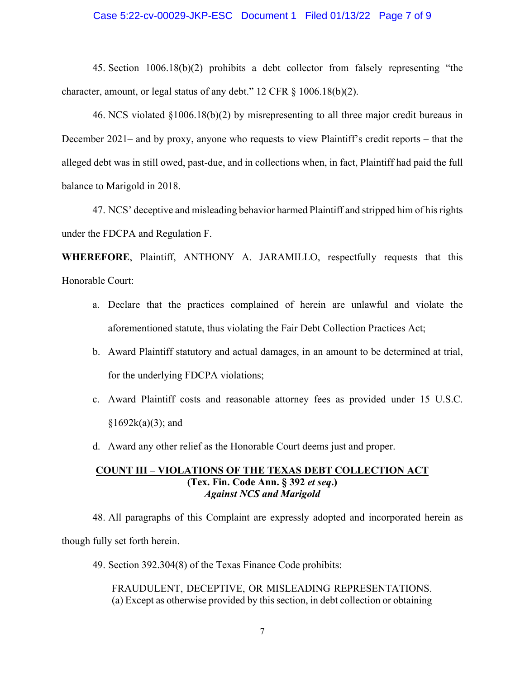#### Case 5:22-cv-00029-JKP-ESC Document 1 Filed 01/13/22 Page 7 of 9

45. Section 1006.18(b)(2) prohibits a debt collector from falsely representing "the character, amount, or legal status of any debt." 12 CFR § 1006.18(b)(2).

46. NCS violated §1006.18(b)(2) by misrepresenting to all three major credit bureaus in December 2021– and by proxy, anyone who requests to view Plaintiff's credit reports – that the alleged debt was in still owed, past-due, and in collections when, in fact, Plaintiff had paid the full balance to Marigold in 2018.

47. NCS' deceptive and misleading behavior harmed Plaintiff and stripped him of his rights under the FDCPA and Regulation F.

**WHEREFORE**, Plaintiff, ANTHONY A. JARAMILLO, respectfully requests that this Honorable Court:

- a. Declare that the practices complained of herein are unlawful and violate the aforementioned statute, thus violating the Fair Debt Collection Practices Act;
- b. Award Plaintiff statutory and actual damages, in an amount to be determined at trial, for the underlying FDCPA violations;
- c. Award Plaintiff costs and reasonable attorney fees as provided under 15 U.S.C.  $§1692k(a)(3);$  and
- d. Award any other relief as the Honorable Court deems just and proper.

# **COUNT III – VIOLATIONS OF THE TEXAS DEBT COLLECTION ACT (Tex. Fin. Code Ann. § 392** *et seq***.)**  *Against NCS and Marigold*

48. All paragraphs of this Complaint are expressly adopted and incorporated herein as though fully set forth herein.

49. Section 392.304(8) of the Texas Finance Code prohibits:

FRAUDULENT, DECEPTIVE, OR MISLEADING REPRESENTATIONS. (a) Except as otherwise provided by this section, in debt collection or obtaining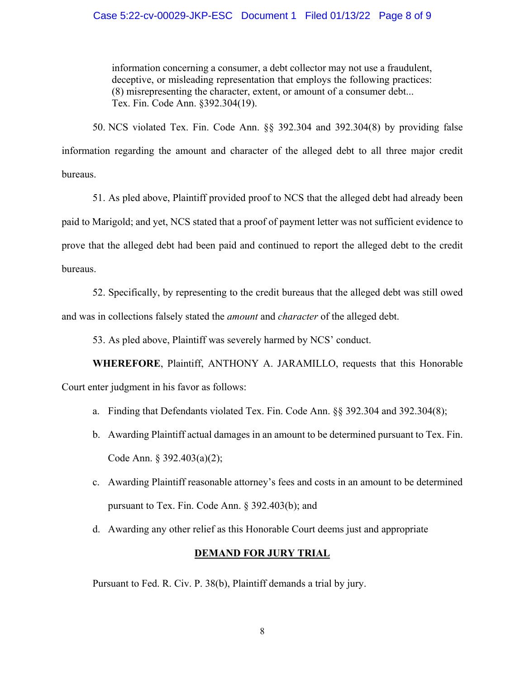### Case 5:22-cv-00029-JKP-ESC Document 1 Filed 01/13/22 Page 8 of 9

information concerning a consumer, a debt collector may not use a fraudulent, deceptive, or misleading representation that employs the following practices: (8) misrepresenting the character, extent, or amount of a consumer debt... Tex. Fin. Code Ann. §392.304(19).

50. NCS violated Tex. Fin. Code Ann. §§ 392.304 and 392.304(8) by providing false information regarding the amount and character of the alleged debt to all three major credit bureaus.

51. As pled above, Plaintiff provided proof to NCS that the alleged debt had already been paid to Marigold; and yet, NCS stated that a proof of payment letter was not sufficient evidence to prove that the alleged debt had been paid and continued to report the alleged debt to the credit bureaus.

52. Specifically, by representing to the credit bureaus that the alleged debt was still owed and was in collections falsely stated the *amount* and *character* of the alleged debt.

53. As pled above, Plaintiff was severely harmed by NCS' conduct.

**WHEREFORE**, Plaintiff, ANTHONY A. JARAMILLO, requests that this Honorable Court enter judgment in his favor as follows:

- a. Finding that Defendants violated Tex. Fin. Code Ann. §§ 392.304 and 392.304(8);
- b. Awarding Plaintiff actual damages in an amount to be determined pursuant to Tex. Fin. Code Ann. § 392.403(a)(2);
- c. Awarding Plaintiff reasonable attorney's fees and costs in an amount to be determined pursuant to Tex. Fin. Code Ann. § 392.403(b); and
- d. Awarding any other relief as this Honorable Court deems just and appropriate

# **DEMAND FOR JURY TRIAL**

Pursuant to Fed. R. Civ. P. 38(b), Plaintiff demands a trial by jury.